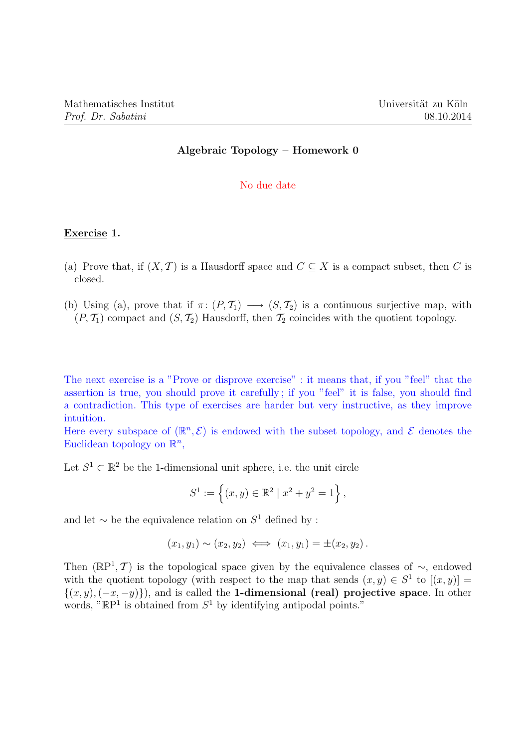## Algebraic Topology – Homework 0

## No due date

## Exercise 1.

- (a) Prove that, if  $(X, \mathcal{T})$  is a Hausdorff space and  $C \subseteq X$  is a compact subset, then C is closed.
- (b) Using (a), prove that if  $\pi: (P, \mathcal{T}_1) \longrightarrow (S, \mathcal{T}_2)$  is a continuous surjective map, with  $(P, \mathcal{T}_1)$  compact and  $(S, \mathcal{T}_2)$  Hausdorff, then  $\mathcal{T}_2$  coincides with the quotient topology.

The next exercise is a "Prove or disprove exercise" : it means that, if you "feel" that the assertion is true, you should prove it carefully ; if you "feel" it is false, you should find a contradiction. This type of exercises are harder but very instructive, as they improve intuition.

Here every subspace of  $(\mathbb{R}^n, \mathcal{E})$  is endowed with the subset topology, and  $\mathcal{E}$  denotes the Euclidean topology on  $\mathbb{R}^n$ ,

Let  $S^1 \subset \mathbb{R}^2$  be the 1-dimensional unit sphere, i.e. the unit circle

$$
S^{1} := \left\{ (x, y) \in \mathbb{R}^{2} \mid x^{2} + y^{2} = 1 \right\},\
$$

and let  $\sim$  be the equivalence relation on  $S^1$  defined by :

$$
(x_1, y_1) \sim (x_2, y_2) \iff (x_1, y_1) = \pm (x_2, y_2).
$$

Then  $(\mathbb{R}P^1, \mathcal{T})$  is the topological space given by the equivalence classes of  $\sim$ , endowed with the quotient topology (with respect to the map that sends  $(x, y) \in S<sup>1</sup>$  to  $[(x, y)] =$  $\{(x, y), (-x, -y)\}\)$ , and is called the **1-dimensional (real) projective space**. In other words, " $\mathbb{R}P^1$  is obtained from  $S^1$  by identifying antipodal points."